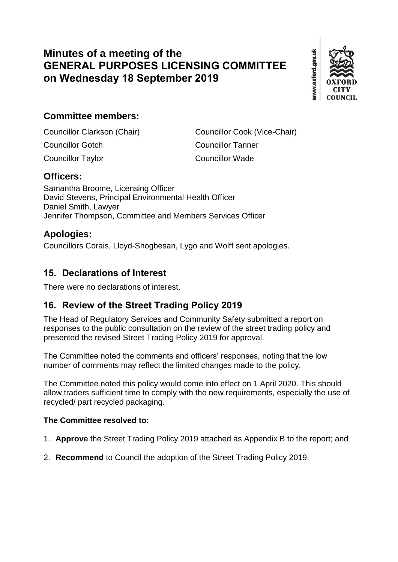# **Minutes of a meeting of the GENERAL PURPOSES LICENSING COMMITTEE on Wednesday 18 September 2019**



## **Committee members:**

Councillor Clarkson (Chair) Councillor Cook (Vice-Chair) Councillor Gotch Councillor Tanner Councillor Taylor Councillor Wade

#### **Officers:**

Samantha Broome, Licensing Officer David Stevens, Principal Environmental Health Officer Daniel Smith, Lawyer Jennifer Thompson, Committee and Members Services Officer

#### **Apologies:**

Councillors Corais, Lloyd-Shogbesan, Lygo and Wolff sent apologies.

#### **15. Declarations of Interest**

There were no declarations of interest.

### **16. Review of the Street Trading Policy 2019**

The Head of Regulatory Services and Community Safety submitted a report on responses to the public consultation on the review of the street trading policy and presented the revised Street Trading Policy 2019 for approval.

The Committee noted the comments and officers' responses, noting that the low number of comments may reflect the limited changes made to the policy.

The Committee noted this policy would come into effect on 1 April 2020. This should allow traders sufficient time to comply with the new requirements, especially the use of recycled/ part recycled packaging.

#### **The Committee resolved to:**

- 1. **Approve** the Street Trading Policy 2019 attached as Appendix B to the report; and
- 2. **Recommend** to Council the adoption of the Street Trading Policy 2019.